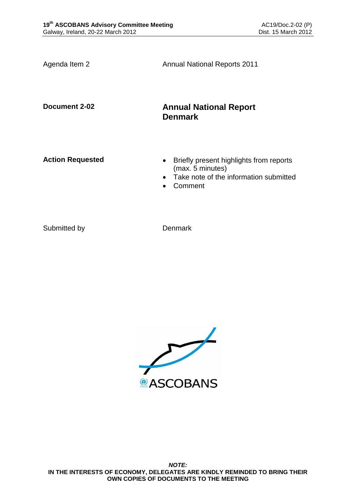Agenda Item 2 **Annual National Reports 2011 Document 2-02 Annual National Report Denmark** Action Requested **and Separated Briefly present highlights from reports** (max. 5 minutes) • Take note of the information submitted Comment

Submitted by Denmark

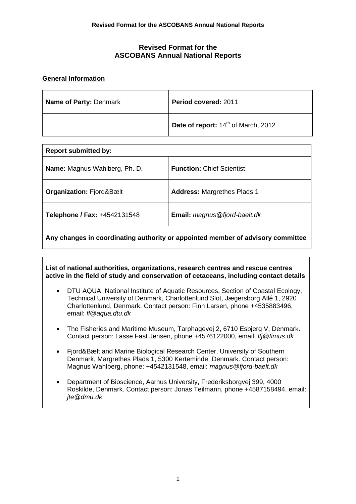# **Revised Format for the ASCOBANS Annual National Reports**

### **General Information**

| <b>Name of Party: Denmark</b> | Period covered: 2011                            |
|-------------------------------|-------------------------------------------------|
|                               | Date of report: 14 <sup>th</sup> of March, 2012 |

| <b>Report submitted by:</b>         |                                      |  |
|-------------------------------------|--------------------------------------|--|
| Name: Magnus Wahlberg, Ph. D.       | <b>Function: Chief Scientist</b>     |  |
| <b>Organization: Fjord&amp;Bælt</b> | <b>Address: Margrethes Plads 1</b>   |  |
| Telephone / Fax: +4542131548        | <b>Email:</b> magnus @fjord-baelt.dk |  |
|                                     |                                      |  |

**Any changes in coordinating authority or appointed member of advisory committee** 

**List of national authorities, organizations, research centres and rescue centres active in the field of study and conservation of cetaceans, including contact details** 

- DTU AQUA, National Institute of Aquatic Resources, Section of Coastal Ecology, Technical University of Denmark, Charlottenlund Slot, Jægersborg Allé 1, 2920 Charlottenlund, Denmark. Contact person: Finn Larsen, phone +4535883496, email: *fl@aqua.dtu.dk*
- The Fisheries and Maritime Museum, Tarphagevej 2, 6710 Esbjerg V, Denmark. Contact person: Lasse Fast Jensen, phone +4576122000, email: *lfj@fimus.dk*
- Fiord&Bælt and Marine Biological Research Center, University of Southern Denmark, Margrethes Plads 1, 5300 Kerteminde, Denmark. Contact person: Magnus Wahlberg, phone: +4542131548, email: *magnus@fjord-baelt.dk*
- Department of Bioscience, Aarhus University, Frederiksborgvej 399, 4000 Roskilde, Denmark. Contact person: Jonas Teilmann, phone +4587158494, email: *jte@dmu.dk*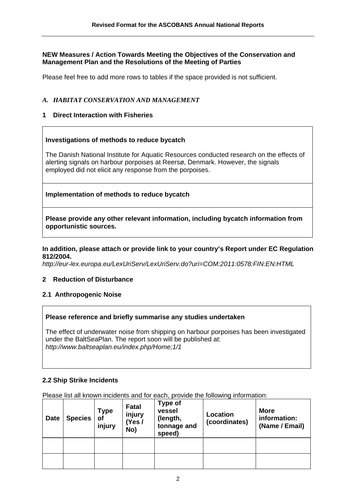### **NEW Measures / Action Towards Meeting the Objectives of the Conservation and Management Plan and the Resolutions of the Meeting of Parties**

Please feel free to add more rows to tables if the space provided is not sufficient.

### *A. HABITAT CONSERVATION AND MANAGEMENT*

# **1 Direct Interaction with Fisheries**

### **Investigations of methods to reduce bycatch**

The Danish National Institute for Aquatic Resources conducted research on the effects of alerting signals on harbour porpoises at Reersø, Denmark. However, the signals employed did not elicit any response from the porpoises.

### **Implementation of methods to reduce bycatch**

**Please provide any other relevant information, including bycatch information from opportunistic sources.** 

#### **In addition, please attach or provide link to your country's Report under EC Regulation 812/2004.**

*http://eur-lex.europa.eu/LexUriServ/LexUriServ.do?uri=COM:2011:0578:FIN:EN:HTML* 

### **2 Reduction of Disturbance**

### **2.1 Anthropogenic Noise**

#### **Please reference and briefly summarise any studies undertaken**

The effect of underwater noise from shipping on harbour porpoises has been investigated under the BaltSeaPlan. The report soon will be published at: *http://www.baltseaplan.eu/index.php/Home;1/1*

### **2.2 Ship Strike Incidents**

Please list all known incidents and for each, provide the following information:

| <b>Date</b> | <b>Species</b> | <b>Type</b><br>of<br>injury | <b>Fatal</b><br>injury<br>(Yes /<br>No) | <b>Type of</b><br>vessel<br>(length,<br>tonnage and<br>speed) | Location<br>(coordinates) | <b>More</b><br>information:<br>(Name / Email) |
|-------------|----------------|-----------------------------|-----------------------------------------|---------------------------------------------------------------|---------------------------|-----------------------------------------------|
|             |                |                             |                                         |                                                               |                           |                                               |
|             |                |                             |                                         |                                                               |                           |                                               |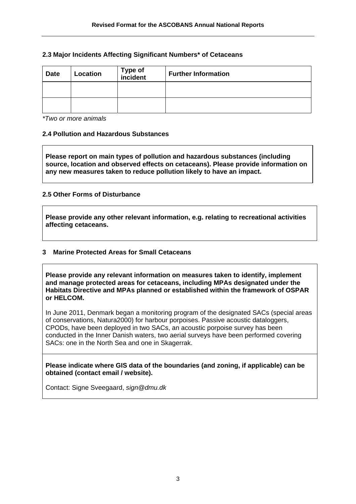### **2.3 Major Incidents Affecting Significant Numbers\* of Cetaceans**

| <b>Date</b> | Location | Type of<br>incident | <b>Further Information</b> |
|-------------|----------|---------------------|----------------------------|
|             |          |                     |                            |
|             |          |                     |                            |

*\*Two or more animals* 

### **2.4 Pollution and Hazardous Substances**

**Please report on main types of pollution and hazardous substances (including source, location and observed effects on cetaceans). Please provide information on any new measures taken to reduce pollution likely to have an impact.** 

### **2.5 Other Forms of Disturbance**

**Please provide any other relevant information, e.g. relating to recreational activities affecting cetaceans.** 

### **3 Marine Protected Areas for Small Cetaceans**

**Please provide any relevant information on measures taken to identify, implement and manage protected areas for cetaceans, including MPAs designated under the Habitats Directive and MPAs planned or established within the framework of OSPAR or HELCOM.** 

In June 2011, Denmark began a monitoring program of the designated SACs (special areas of conservations, Natura2000) for harbour porpoises. Passive acoustic dataloggers, CPODs, have been deployed in two SACs, an acoustic porpoise survey has been conducted in the Inner Danish waters, two aerial surveys have been performed covering SACs: one in the North Sea and one in Skagerrak.

**Please indicate where GIS data of the boundaries (and zoning, if applicable) can be obtained (contact email / website).** 

Contact: Signe Sveegaard, *sign@dmu.dk*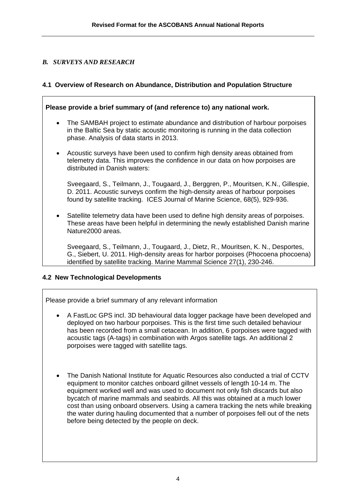# *B. SURVEYS AND RESEARCH*

# **4.1 Overview of Research on Abundance, Distribution and Population Structure**

| Please provide a brief summary of (and reference to) any national work. |                                                                                                                                                                                                                                                       |  |
|-------------------------------------------------------------------------|-------------------------------------------------------------------------------------------------------------------------------------------------------------------------------------------------------------------------------------------------------|--|
| $\bullet$                                                               | The SAMBAH project to estimate abundance and distribution of harbour porpoises<br>in the Baltic Sea by static acoustic monitoring is running in the data collection<br>phase. Analysis of data starts in 2013.                                        |  |
| $\bullet$                                                               | Acoustic surveys have been used to confirm high density areas obtained from<br>telemetry data. This improves the confidence in our data on how porpoises are<br>distributed in Danish waters:                                                         |  |
|                                                                         | Sveegaard, S., Teilmann, J., Tougaard, J., Berggren, P., Mouritsen, K.N., Gillespie,<br>D. 2011. Acoustic surveys confirm the high-density areas of harbour porpoises<br>found by satellite tracking. ICES Journal of Marine Science, 68(5), 929-936. |  |
| $\bullet$                                                               | Satellite telemetry data have been used to define high density areas of porpoises.<br>These areas have been helpful in determining the newly established Danish marine<br>Nature2000 areas.                                                           |  |

Sveegaard, S., Teilmann, J., Tougaard, J., Dietz, R., Mouritsen, K. N., Desportes, G., Siebert, U. 2011. High-density areas for harbor porpoises (Phocoena phocoena) identified by satellite tracking. Marine Mammal Science 27(1), 230-246.

# **4.2 New Technological Developments**

Please provide a brief summary of any relevant information

- A FastLoc GPS incl. 3D behavioural data logger package have been developed and deployed on two harbour porpoises. This is the first time such detailed behaviour has been recorded from a small cetacean. In addition, 6 porpoises were tagged with acoustic tags (A-tags) in combination with Argos satellite tags. An additional 2 porpoises were tagged with satellite tags.
- The Danish National Institute for Aquatic Resources also conducted a trial of CCTV equipment to monitor catches onboard gillnet vessels of length 10-14 m. The equipment worked well and was used to document not only fish discards but also bycatch of marine mammals and seabirds. All this was obtained at a much lower cost than using onboard observers. Using a camera tracking the nets while breaking the water during hauling documented that a number of porpoises fell out of the nets before being detected by the people on deck.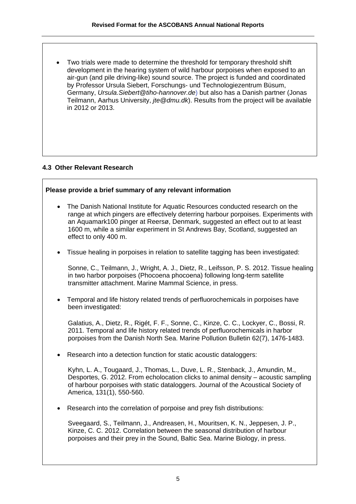• Two trials were made to determine the threshold for temporary threshold shift development in the hearing system of wild harbour porpoises when exposed to an air-gun (and pile driving-like) sound source. The project is funded and coordinated by Professor Ursula Siebert, Forschungs- und Technologiezentrum Büsum, Germany, *Ursula.Siebert@tiho-hannover.de*) but also has a Danish partner (Jonas Teilmann, Aarhus University, *jte@dmu.dk*). Results from the project will be available in 2012 or 2013.

### **4.3 Other Relevant Research**

### **Please provide a brief summary of any relevant information**

- The Danish National Institute for Aquatic Resources conducted research on the range at which pingers are effectively deterring harbour porpoises. Experiments with an Aquamark100 pinger at Reersø, Denmark, suggested an effect out to at least 1600 m, while a similar experiment in St Andrews Bay, Scotland, suggested an effect to only 400 m.
- Tissue healing in porpoises in relation to satellite tagging has been investigated:

Sonne, C., Teilmann, J., Wright, A. J., Dietz, R., Leifsson, P. S. 2012. Tissue healing in two harbor porpoises (Phocoena phocoena) following long-term satellite transmitter attachment. Marine Mammal Science, in press.

• Temporal and life history related trends of perfluorochemicals in porpoises have been investigated:

Galatius, A., Dietz, R., Rigét, F. F., Sonne, C., Kinze, C. C., Lockyer, C., Bossi, R. 2011. Temporal and life history related trends of perfluorochemicals in harbor porpoises from the Danish North Sea. Marine Pollution Bulletin 62(7), 1476-1483.

Research into a detection function for static acoustic dataloggers:

Kyhn, L. A., Tougaard, J., Thomas, L., Duve, L. R., Stenback, J., Amundin, M., Desportes, G. 2012. From echolocation clicks to animal density – acoustic sampling of harbour porpoises with static dataloggers. Journal of the Acoustical Society of America, 131(1), 550-560.

• Research into the correlation of porpoise and prey fish distributions:

Sveegaard, S., Teilmann, J., Andreasen, H., Mouritsen, K. N., Jeppesen, J. P., Kinze, C. C. 2012. Correlation between the seasonal distribution of harbour porpoises and their prey in the Sound, Baltic Sea. Marine Biology, in press.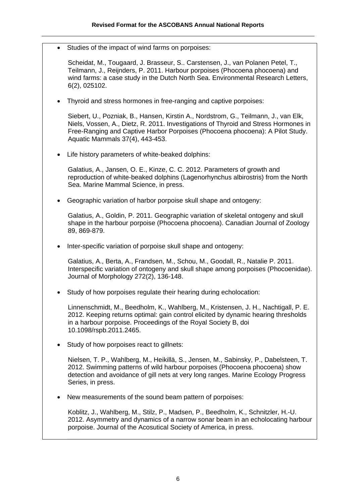Studies of the impact of wind farms on porpoises:

Scheidat, M., Tougaard, J. Brasseur, S.. Carstensen, J., van Polanen Petel, T., Teilmann, J., Reijnders, P. 2011. Harbour porpoises (Phocoena phocoena) and wind farms: a case study in the Dutch North Sea. Environmental Research Letters, 6(2), 025102.

• Thyroid and stress hormones in free-ranging and captive porpoises:

Siebert, U., Pozniak, B., Hansen, Kirstin A., Nordstrom, G., Teilmann, J., van Elk, Niels, Vossen, A., Dietz, R. 2011. Investigations of Thyroid and Stress Hormones in Free-Ranging and Captive Harbor Porpoises (Phocoena phocoena): A Pilot Study. Aquatic Mammals 37(4), 443-453.

• Life history parameters of white-beaked dolphins:

Galatius, A., Jansen, O. E., Kinze, C. C. 2012. Parameters of growth and reproduction of white-beaked dolphins (Lagenorhynchus albirostris) from the North Sea. Marine Mammal Science, in press.

• Geographic variation of harbor porpoise skull shape and ontogeny:

Galatius, A., Goldin, P. 2011. Geographic variation of skeletal ontogeny and skull shape in the harbour porpoise (Phocoena phocoena). Canadian Journal of Zoology 89, 869-879.

• Inter-specific variation of porpoise skull shape and ontogeny:

Galatius, A., Berta, A., Frandsen, M., Schou, M., Goodall, R., Natalie P. 2011. Interspecific variation of ontogeny and skull shape among porpoises (Phocoenidae). Journal of Morphology 272(2), 136-148.

• Study of how porpoises regulate their hearing during echolocation:

Linnenschmidt, M., Beedholm, K., Wahlberg, M., Kristensen, J. H., Nachtigall, P. E. 2012. Keeping returns optimal: gain control elicited by dynamic hearing thresholds in a harbour porpoise. Proceedings of the Royal Society B, doi 10.1098/rspb.2011.2465.

Study of how porpoises react to gillnets:

Nielsen, T. P., Wahlberg, M., Heikillä, S., Jensen, M., Sabinsky, P., Dabelsteen, T. 2012. Swimming patterns of wild harbour porpoises (Phocoena phocoena) show detection and avoidance of gill nets at very long ranges. Marine Ecology Progress Series, in press.

• New measurements of the sound beam pattern of porpoises:

Koblitz, J., Wahlberg, M., Stilz, P., Madsen, P., Beedholm, K., Schnitzler, H.-U. 2012. Asymmetry and dynamics of a narrow sonar beam in an echolocating harbour porpoise. Journal of the Acosutical Society of America, in press.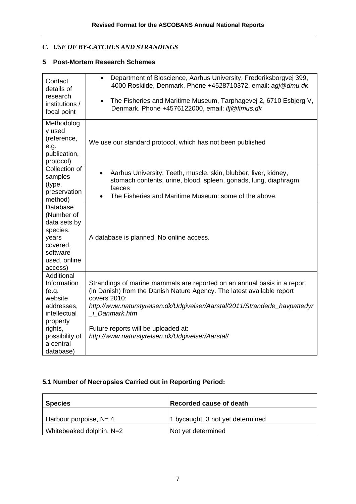# *C. USE OF BY-CATCHES AND STRANDINGS*

# **5 Post-Mortem Research Schemes**

| Contact<br>details of<br>research<br>institutions /<br>focal point                                                                             | Department of Bioscience, Aarhus University, Frederiksborgvej 399,<br>$\bullet$<br>4000 Roskilde, Denmark. Phone +4528710372, email: agj@dmu.dk<br>The Fisheries and Maritime Museum, Tarphagevej 2, 6710 Esbjerg V,<br>$\bullet$<br>Denmark. Phone +4576122000, email: Ifj@fimus.dk                                                                                |
|------------------------------------------------------------------------------------------------------------------------------------------------|---------------------------------------------------------------------------------------------------------------------------------------------------------------------------------------------------------------------------------------------------------------------------------------------------------------------------------------------------------------------|
| Methodolog<br>y used<br>(reference,<br>e.g.<br>publication,<br>protocol)                                                                       | We use our standard protocol, which has not been published                                                                                                                                                                                                                                                                                                          |
| Collection of<br>samples<br>(type,<br>preservation<br>method)                                                                                  | Aarhus University: Teeth, muscle, skin, blubber, liver, kidney,<br>$\bullet$<br>stomach contents, urine, blood, spleen, gonads, lung, diaphragm,<br>faeces<br>The Fisheries and Maritime Museum: some of the above.<br>$\bullet$                                                                                                                                    |
| Database<br>(Number of<br>data sets by<br>species,<br>years<br>covered,<br>software<br>used, online<br>access)                                 | A database is planned. No online access.                                                                                                                                                                                                                                                                                                                            |
| Additional<br>Information<br>(e.g.<br>website<br>addresses,<br>intellectual<br>property<br>rights,<br>possibility of<br>a central<br>database) | Strandings of marine mammals are reported on an annual basis in a report<br>(in Danish) from the Danish Nature Agency. The latest available report<br>covers 2010:<br>http://www.naturstyrelsen.dk/Udgivelser/Aarstal/2011/Strandede_havpattedyr<br><i>i</i> Danmark.htm<br>Future reports will be uploaded at:<br>http://www.naturstyrelsen.dk/Udgivelser/Aarstal/ |

# **5.1 Number of Necropsies Carried out in Reporting Period:**

| <b>Species</b>            | Recorded cause of death          |
|---------------------------|----------------------------------|
| Harbour porpoise, $N = 4$ | 1 bycaught, 3 not yet determined |
| Whitebeaked dolphin, N=2  | Not yet determined               |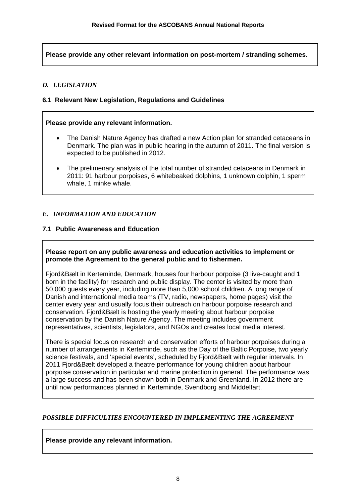**Please provide any other relevant information on post-mortem / stranding schemes.** 

# *D. LEGISLATION*

### **6.1 Relevant New Legislation, Regulations and Guidelines**

#### **Please provide any relevant information.**

- The Danish Nature Agency has drafted a new Action plan for stranded cetaceans in Denmark. The plan was in public hearing in the autumn of 2011. The final version is expected to be published in 2012.
- The prelimenary analysis of the total number of stranded cetaceans in Denmark in 2011: 91 harbour porpoises, 6 whitebeaked dolphins, 1 unknown dolphin, 1 sperm whale, 1 minke whale.

### *E. INFORMATION AND EDUCATION*

### **7.1 Public Awareness and Education**

#### **Please report on any public awareness and education activities to implement or promote the Agreement to the general public and to fishermen.**

Fjord&Bælt in Kerteminde, Denmark, houses four harbour porpoise (3 live-caught and 1 born in the facility) for research and public display. The center is visited by more than 50,000 guests every year, including more than 5,000 school children. A long range of Danish and international media teams (TV, radio, newspapers, home pages) visit the center every year and usually focus their outreach on harbour porpoise research and conservation. Fjord&Bælt is hosting the yearly meeting about harbour porpoise conservation by the Danish Nature Agency. The meeting includes government representatives, scientists, legislators, and NGOs and creates local media interest.

There is special focus on research and conservation efforts of harbour porpoises during a number of arrangements in Kerteminde, such as the Day of the Baltic Porpoise, two yearly science festivals, and 'special events', scheduled by Fjord&Bælt with regular intervals. In 2011 Fjord&Bælt developed a theatre performance for young children about harbour porpoise conservation in particular and marine protection in general. The performance was a large success and has been shown both in Denmark and Greenland. In 2012 there are until now performances planned in Kerteminde, Svendborg and Middelfart.

### *POSSIBLE DIFFICULTIES ENCOUNTERED IN IMPLEMENTING THE AGREEMENT*

**Please provide any relevant information.**